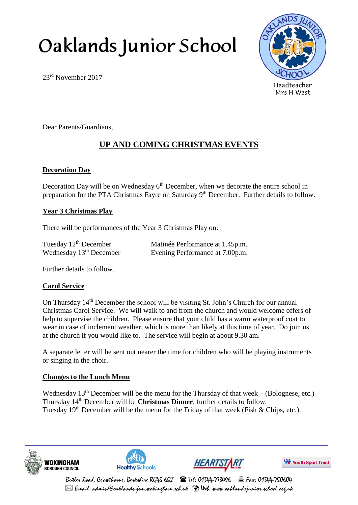# Oaklands Junior School



23rd November 2017

Dear Parents/Guardians,

# **UP AND COMING CHRISTMAS EVENTS**

### **Decoration Day**

Decoration Day will be on Wednesday  $6<sup>th</sup>$  December, when we decorate the entire school in preparation for the PTA Christmas Fayre on Saturday 9<sup>th</sup> December. Further details to follow.

#### **Year 3 Christmas Play**

There will be performances of the Year 3 Christmas Play on:

| Tuesday $12th$ December   | Matinée Performance at 1.45p.m. |
|---------------------------|---------------------------------|
| Wednesday $13th$ December | Evening Performance at 7.00p.m. |

Further details to follow.

#### **Carol Service**

On Thursday 14th December the school will be visiting St. John's Church for our annual Christmas Carol Service. We will walk to and from the church and would welcome offers of help to supervise the children. Please ensure that your child has a warm waterproof coat to wear in case of inclement weather, which is more than likely at this time of year. Do join us at the church if you would like to. The service will begin at about 9.30 am.

A separate letter will be sent out nearer the time for children who will be playing instruments or singing in the choir.

## **Changes to the Lunch Menu**

Wednesday  $13<sup>th</sup>$  December will be the menu for the Thursday of that week – (Bolognese, etc.) Thursday 14th December will be **Christmas Dinner**, further details to follow. Tuesday  $19<sup>th</sup>$  December will be the menu for the Friday of that week (Fish & Chips, etc.).









Butler Road, Crowthorne, Berkshire RG45 6Q2  $\bullet$  Tel: 01344-773496  $\bullet$   $\bullet$  Fax: 01344-750604  $\boxtimes$  Email: admin@oaklands-jun.wokingham.sch.uk  $\,$  Web: www.oaklandsjunior-school.org.uk